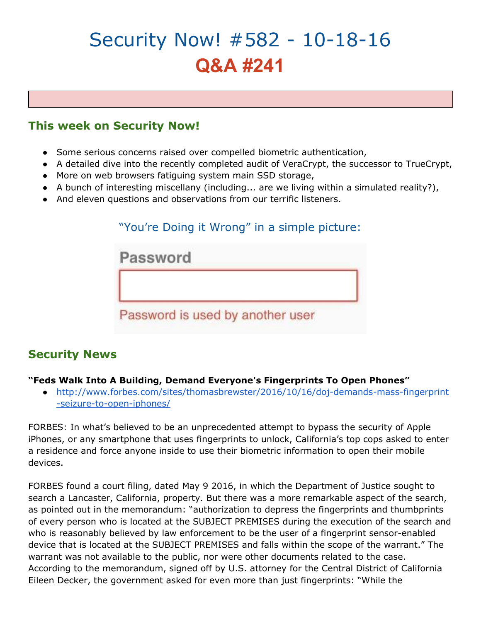# Security Now! #582 - 10-18-16 **Q&A #241**

# **This week on Security Now!**

- Some serious concerns raised over compelled biometric authentication,
- A detailed dive into the recently completed audit of VeraCrypt, the successor to TrueCrypt,
- More on web browsers fatiguing system main SSD storage,
- $\bullet$  A bunch of interesting miscellany (including... are we living within a simulated reality?),
- And eleven questions and observations from our terrific listeners.

# "You're Doing it Wrong" in a simple picture:

| Password                         |  |
|----------------------------------|--|
|                                  |  |
| Password is used by another user |  |

## **Security News**

#### **"Feds Walk Into A Building, Demand Everyone's Fingerprints To Open Phones"**

● [http://www.forbes.com/sites/thomasbrewster/2016/10/16/doj-demands-mass-fingerprint](http://www.forbes.com/sites/thomasbrewster/2016/10/16/doj-demands-mass-fingerprint-seizure-to-open-iphones/) [-seizure-to-open-iphones/](http://www.forbes.com/sites/thomasbrewster/2016/10/16/doj-demands-mass-fingerprint-seizure-to-open-iphones/)

FORBES: In what's believed to be an unprecedented attempt to bypass the security of Apple iPhones, or any smartphone that uses fingerprints to unlock, California's top cops asked to enter a residence and force anyone inside to use their biometric information to open their mobile devices.

FORBES found a court filing, dated May 9 2016, in which the Department of Justice sought to search a Lancaster, California, property. But there was a more remarkable aspect of the search, as pointed out in the memorandum: "authorization to depress the fingerprints and thumbprints of every person who is located at the SUBJECT PREMISES during the execution of the search and who is reasonably believed by law enforcement to be the user of a fingerprint sensor-enabled device that is located at the SUBJECT PREMISES and falls within the scope of the warrant." The warrant was not available to the public, nor were other documents related to the case. According to the memorandum, signed off by U.S. attorney for the Central District of California Eileen Decker, the government asked for even more than just fingerprints: "While the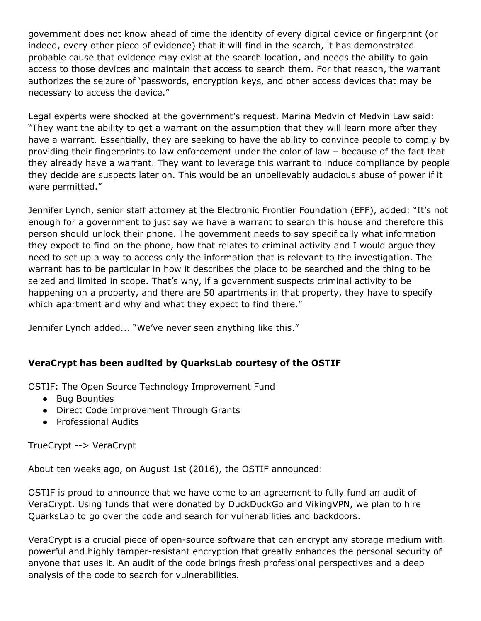government does not know ahead of time the identity of every digital device or fingerprint (or indeed, every other piece of evidence) that it will find in the search, it has demonstrated probable cause that evidence may exist at the search location, and needs the ability to gain access to those devices and maintain that access to search them. For that reason, the warrant authorizes the seizure of 'passwords, encryption keys, and other access devices that may be necessary to access the device."

Legal experts were shocked at the government's request. Marina Medvin of Medvin Law said: "They want the ability to get a warrant on the assumption that they will learn more after they have a warrant. Essentially, they are seeking to have the ability to convince people to comply by providing their fingerprints to law enforcement under the color of law – because of the fact that they already have a warrant. They want to leverage this warrant to induce compliance by people they decide are suspects later on. This would be an unbelievably audacious abuse of power if it were permitted."

Jennifer Lynch, senior staff attorney at the Electronic Frontier Foundation (EFF), added: "It's not enough for a government to just say we have a warrant to search this house and therefore this person should unlock their phone. The government needs to say specifically what information they expect to find on the phone, how that relates to criminal activity and I would argue they need to set up a way to access only the information that is relevant to the investigation. The warrant has to be particular in how it describes the place to be searched and the thing to be seized and limited in scope. That's why, if a government suspects criminal activity to be happening on a property, and there are 50 apartments in that property, they have to specify which apartment and why and what they expect to find there."

Jennifer Lynch added... "We've never seen anything like this."

#### **VeraCrypt has been audited by QuarksLab courtesy of the OSTIF**

OSTIF: The Open Source Technology Improvement Fund

- Bug Bounties
- Direct Code Improvement Through Grants
- Professional Audits

TrueCrypt --> VeraCrypt

About ten weeks ago, on August 1st (2016), the OSTIF announced:

OSTIF is proud to announce that we have come to an agreement to fully fund an audit of VeraCrypt. Using funds that were donated by DuckDuckGo and VikingVPN, we plan to hire QuarksLab to go over the code and search for vulnerabilities and backdoors.

VeraCrypt is a crucial piece of open-source software that can encrypt any storage medium with powerful and highly tamper-resistant encryption that greatly enhances the personal security of anyone that uses it. An audit of the code brings fresh professional perspectives and a deep analysis of the code to search for vulnerabilities.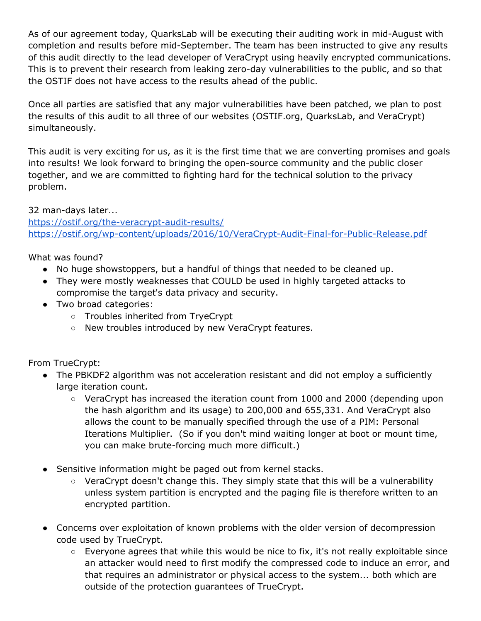As of our agreement today, QuarksLab will be executing their auditing work in mid-August with completion and results before mid-September. The team has been instructed to give any results of this audit directly to the lead developer of VeraCrypt using heavily encrypted communications. This is to prevent their research from leaking zero-day vulnerabilities to the public, and so that the OSTIF does not have access to the results ahead of the public.

Once all parties are satisfied that any major vulnerabilities have been patched, we plan to post the results of this audit to all three of our websites (OSTIF.org, QuarksLab, and VeraCrypt) simultaneously.

This audit is very exciting for us, as it is the first time that we are converting promises and goals into results! We look forward to bringing the open-source community and the public closer together, and we are committed to fighting hard for the technical solution to the privacy problem.

32 man-days later... <https://ostif.org/the-veracrypt-audit-results/> <https://ostif.org/wp-content/uploads/2016/10/VeraCrypt-Audit-Final-for-Public-Release.pdf>

What was found?

- No huge showstoppers, but a handful of things that needed to be cleaned up.
- They were mostly weaknesses that COULD be used in highly targeted attacks to compromise the target's data privacy and security.
- Two broad categories:
	- Troubles inherited from TryeCrypt
	- New troubles introduced by new VeraCrypt features.

From TrueCrypt:

- The PBKDF2 algorithm was not acceleration resistant and did not employ a sufficiently large iteration count.
	- VeraCrypt has increased the iteration count from 1000 and 2000 (depending upon the hash algorithm and its usage) to 200,000 and 655,331. And VeraCrypt also allows the count to be manually specified through the use of a PIM: Personal Iterations Multiplier. (So if you don't mind waiting longer at boot or mount time, you can make brute-forcing much more difficult.)
- Sensitive information might be paged out from kernel stacks.
	- VeraCrypt doesn't change this. They simply state that this will be a vulnerability unless system partition is encrypted and the paging file is therefore written to an encrypted partition.
- Concerns over exploitation of known problems with the older version of decompression code used by TrueCrypt.
	- Everyone agrees that while this would be nice to fix, it's not really exploitable since an attacker would need to first modify the compressed code to induce an error, and that requires an administrator or physical access to the system... both which are outside of the protection guarantees of TrueCrypt.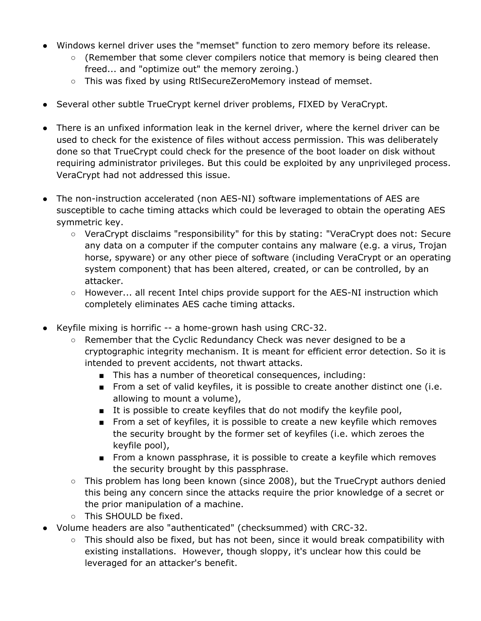- Windows kernel driver uses the "memset" function to zero memory before its release.
	- $\circ$  (Remember that some clever compilers notice that memory is being cleared then freed... and "optimize out" the memory zeroing.)
	- This was fixed by using RtlSecureZeroMemory instead of memset.
- Several other subtle TrueCrypt kernel driver problems, FIXED by VeraCrypt.
- There is an unfixed information leak in the kernel driver, where the kernel driver can be used to check for the existence of files without access permission. This was deliberately done so that TrueCrypt could check for the presence of the boot loader on disk without requiring administrator privileges. But this could be exploited by any unprivileged process. VeraCrypt had not addressed this issue.
- The non-instruction accelerated (non AES-NI) software implementations of AES are susceptible to cache timing attacks which could be leveraged to obtain the operating AES symmetric key.
	- VeraCrypt disclaims "responsibility" for this by stating: "VeraCrypt does not: Secure any data on a computer if the computer contains any malware (e.g. a virus, Trojan horse, spyware) or any other piece of software (including VeraCrypt or an operating system component) that has been altered, created, or can be controlled, by an attacker.
	- However... all recent Intel chips provide support for the AES-NI instruction which completely eliminates AES cache timing attacks.
- Keyfile mixing is horrific -- a home-grown hash using CRC-32.
	- Remember that the Cyclic Redundancy Check was never designed to be a cryptographic integrity mechanism. It is meant for efficient error detection. So it is intended to prevent accidents, not thwart attacks.
		- This has a number of theoretical consequences, including:
		- From a set of valid keyfiles, it is possible to create another distinct one (i.e. allowing to mount a volume),
		- It is possible to create keyfiles that do not modify the keyfile pool,
		- From a set of keyfiles, it is possible to create a new keyfile which removes the security brought by the former set of keyfiles (i.e. which zeroes the keyfile pool),
		- From a known passphrase, it is possible to create a keyfile which removes the security brought by this passphrase.
	- $\circ$  This problem has long been known (since 2008), but the TrueCrypt authors denied this being any concern since the attacks require the prior knowledge of a secret or the prior manipulation of a machine.
	- This SHOULD be fixed.
- Volume headers are also "authenticated" (checksummed) with CRC-32.
	- $\circ$  This should also be fixed, but has not been, since it would break compatibility with existing installations. However, though sloppy, it's unclear how this could be leveraged for an attacker's benefit.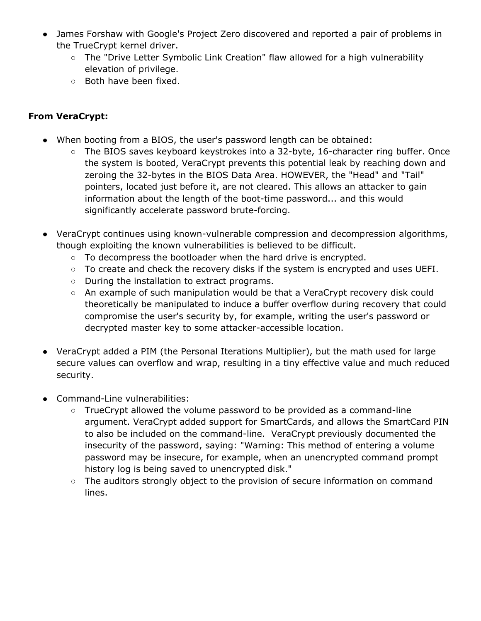- James Forshaw with Google's Project Zero discovered and reported a pair of problems in the TrueCrypt kernel driver.
	- The "Drive Letter Symbolic Link Creation" flaw allowed for a high vulnerability elevation of privilege.
	- Both have been fixed.

#### **From VeraCrypt:**

- When booting from a BIOS, the user's password length can be obtained:
	- The BIOS saves keyboard keystrokes into a 32-byte, 16-character ring buffer. Once the system is booted, VeraCrypt prevents this potential leak by reaching down and zeroing the 32-bytes in the BIOS Data Area. HOWEVER, the "Head" and "Tail" pointers, located just before it, are not cleared. This allows an attacker to gain information about the length of the boot-time password... and this would significantly accelerate password brute-forcing.
- VeraCrypt continues using known-vulnerable compression and decompression algorithms, though exploiting the known vulnerabilities is believed to be difficult.
	- To decompress the bootloader when the hard drive is encrypted.
	- To create and check the recovery disks if the system is encrypted and uses UEFI.
	- During the installation to extract programs.
	- An example of such manipulation would be that a VeraCrypt recovery disk could theoretically be manipulated to induce a buffer overflow during recovery that could compromise the user's security by, for example, writing the user's password or decrypted master key to some attacker-accessible location.
- VeraCrypt added a PIM (the Personal Iterations Multiplier), but the math used for large secure values can overflow and wrap, resulting in a tiny effective value and much reduced security.
- Command-Line vulnerabilities:
	- TrueCrypt allowed the volume password to be provided as a command-line argument. VeraCrypt added support for SmartCards, and allows the SmartCard PIN to also be included on the command-line. VeraCrypt previously documented the insecurity of the password, saying: "Warning: This method of entering a volume password may be insecure, for example, when an unencrypted command prompt history log is being saved to unencrypted disk."
	- The auditors strongly object to the provision of secure information on command lines.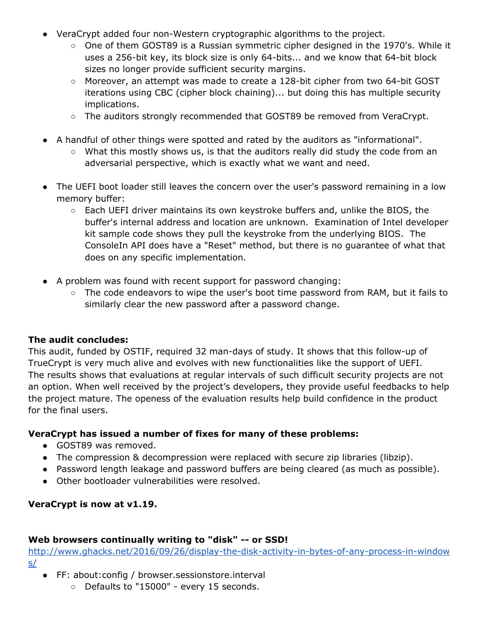- VeraCrypt added four non-Western cryptographic algorithms to the project.
	- One of them GOST89 is a Russian symmetric cipher designed in the 1970's. While it uses a 256-bit key, its block size is only 64-bits... and we know that 64-bit block sizes no longer provide sufficient security margins.
	- Moreover, an attempt was made to create a 128-bit cipher from two 64-bit GOST iterations using CBC (cipher block chaining)... but doing this has multiple security implications.
	- The auditors strongly recommended that GOST89 be removed from VeraCrypt.
- A handful of other things were spotted and rated by the auditors as "informational".
	- What this mostly shows us, is that the auditors really did study the code from an adversarial perspective, which is exactly what we want and need.
- The UEFI boot loader still leaves the concern over the user's password remaining in a low memory buffer:
	- Each UEFI driver maintains its own keystroke buffers and, unlike the BIOS, the buffer's internal address and location are unknown. Examination of Intel developer kit sample code shows they pull the keystroke from the underlying BIOS. The ConsoleIn API does have a "Reset" method, but there is no guarantee of what that does on any specific implementation.
- A problem was found with recent support for password changing:
	- The code endeavors to wipe the user's boot time password from RAM, but it fails to similarly clear the new password after a password change.

#### **The audit concludes:**

This audit, funded by OSTIF, required 32 man-days of study. It shows that this follow-up of TrueCrypt is very much alive and evolves with new functionalities like the support of UEFI. The results shows that evaluations at regular intervals of such difficult security projects are not an option. When well received by the project's developers, they provide useful feedbacks to help the project mature. The openess of the evaluation results help build confidence in the product for the final users.

#### **VeraCrypt has issued a number of fixes for many of these problems:**

- GOST89 was removed.
- The compression & decompression were replaced with secure zip libraries (libzip).
- Password length leakage and password buffers are being cleared (as much as possible).
- Other bootloader vulnerabilities were resolved.

#### **VeraCrypt is now at v1.19.**

#### **Web browsers continually writing to "disk" -- or SSD!**

[http://www.ghacks.net/2016/09/26/display-the-disk-activity-in-bytes-of-any-process-in-window](http://www.ghacks.net/2016/09/26/display-the-disk-activity-in-bytes-of-any-process-in-windows/) [s/](http://www.ghacks.net/2016/09/26/display-the-disk-activity-in-bytes-of-any-process-in-windows/)

- FF: about:config / browser.sessionstore.interval
	- Defaults to "15000" every 15 seconds.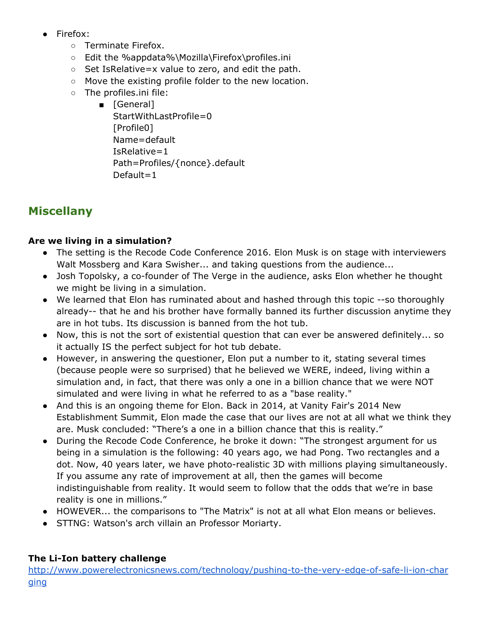- Firefox:
	- Terminate Firefox.
	- Edit the %appdata%\Mozilla\Firefox\profiles.ini
	- Set IsRelative=x value to zero, and edit the path.
	- Move the existing profile folder to the new location.
	- The profiles.ini file:
		- [General]
			- StartWithLastProfile=0 [Profile0] Name=default IsRelative=1 Path=Profiles/{nonce}.default Default=1

# **Miscellany**

### **Are we living in a simulation?**

- The setting is the Recode Code Conference 2016. Elon Musk is on stage with interviewers Walt Mossberg and Kara Swisher... and taking questions from the audience...
- Josh Topolsky, a co-founder of The Verge in the audience, asks Elon whether he thought we might be living in a simulation.
- We learned that Elon has ruminated about and hashed through this topic --so thoroughly already-- that he and his brother have formally banned its further discussion anytime they are in hot tubs. Its discussion is banned from the hot tub.
- Now, this is not the sort of existential question that can ever be answered definitely... so it actually IS the perfect subject for hot tub debate.
- However, in answering the questioner, Elon put a number to it, stating several times (because people were so surprised) that he believed we WERE, indeed, living within a simulation and, in fact, that there was only a one in a billion chance that we were NOT simulated and were living in what he referred to as a "base reality."
- And this is an ongoing theme for Elon. Back in 2014, at Vanity Fair's 2014 New Establishment Summit, Elon made the case that our lives are not at all what we think they are. Musk concluded: "There's a one in a billion chance that this is reality."
- During the Recode Code Conference, he broke it down: "The strongest argument for us being in a simulation is the following: 40 years ago, we had Pong. Two rectangles and a dot. Now, 40 years later, we have photo-realistic 3D with millions playing simultaneously. If you assume any rate of improvement at all, then the games will become indistinguishable from reality. It would seem to follow that the odds that we're in base reality is one in millions."
- HOWEVER... the comparisons to "The Matrix" is not at all what Elon means or believes.
- STTNG: Watson's arch villain an Professor Moriarty.

#### **The Li-Ion battery challenge**

[http://www.powerelectronicsnews.com/technology/pushing-to-the-very-edge-of-safe-li-ion-char](http://www.powerelectronicsnews.com/technology/pushing-to-the-very-edge-of-safe-li-ion-charging) [ging](http://www.powerelectronicsnews.com/technology/pushing-to-the-very-edge-of-safe-li-ion-charging)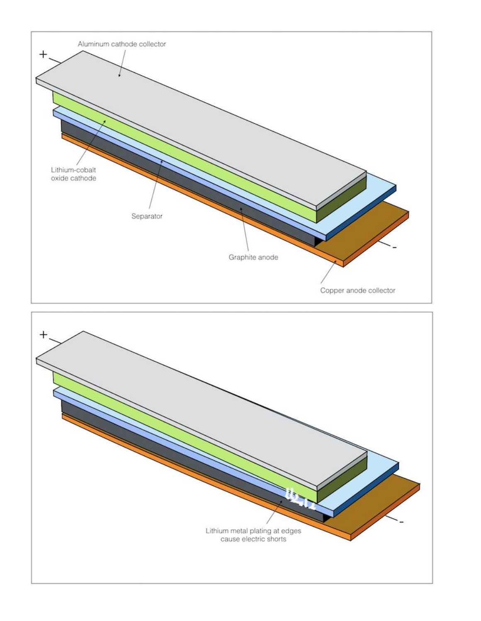